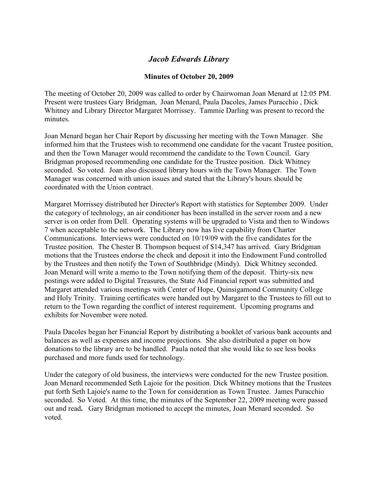## *Jacob Edwards Library*

## **Minutes of October 20, 2009**

The meeting of October 20, 2009 was called to order by Chairwoman Joan Menard at 12:05 PM. Present were trustees Gary Bridgman, Joan Menard, Paula Dacoles, James Puracchio , Dick Whitney and Library Director Margaret Morrissey. Tammie Darling was present to record the minutes.

Joan Menard began her Chair Report by discussing her meeting with the Town Manager. She informed him that the Trustees wish to recommend one candidate for the vacant Trustee position, and then the Town Manager would recommend the candidate to the Town Council. Gary Bridgman proposed recommending one candidate for the Trustee position. Dick Whitney seconded. So voted. Joan also discussed library hours with the Town Manager. The Town Manager was concerned with union issues and stated that the Library's hours should be coordinated with the Union contract.

Margaret Morrissey distributed her Director's Report with statistics for September 2009. Under the category of technology, an air conditioner has been installed in the server room and a new server is on order from Dell. Operating systems will be upgraded to Vista and then to Windows 7 when acceptable to the network. The Library now has live capability from Charter Communications. Interviews were conducted on 10/19/09 with the five candidates for the Trustee position. The Chester B. Thompson bequest of \$14,347 has arrived. Gary Bridgman motions that the Trustees endorse the check and deposit it into the Endowment Fund controlled by the Trustees and then notify the Town of Southbridge (Mindy). Dick Whitney seconded. Joan Menard will write a memo to the Town notifying them of the deposit. Thirty-six new postings were added to Digital Treasures, the State Aid Financial report was submitted and Margaret attended various meetings with Center of Hope, Quinsigamond Community College and Holy Trinity. Training certificates were handed out by Margaret to the Trustees to fill out to return to the Town regarding the conflict of interest requirement. Upcoming programs and exhibits for November were noted.

Paula Dacoles began her Financial Report by distributing a booklet of various bank accounts and balances as well as expenses and income projections. She also distributed a paper on how donations to the library are to be handled. Paula noted that she would like to see less books purchased and more funds used for technology.

Under the category of old business, the interviews were conducted for the new Trustee position. Joan Menard recommended Seth Lajoie for the position. Dick Whitney motions that the Trustees put forth Seth Lajoie's name to the Town for consideration as Town Trustee. James Puracchio seconded. So Voted. At this time, the minutes of the September 22, 2009 meeting were passed out and read**.** Gary Bridgman motioned to accept the minutes, Joan Menard seconded. So voted.